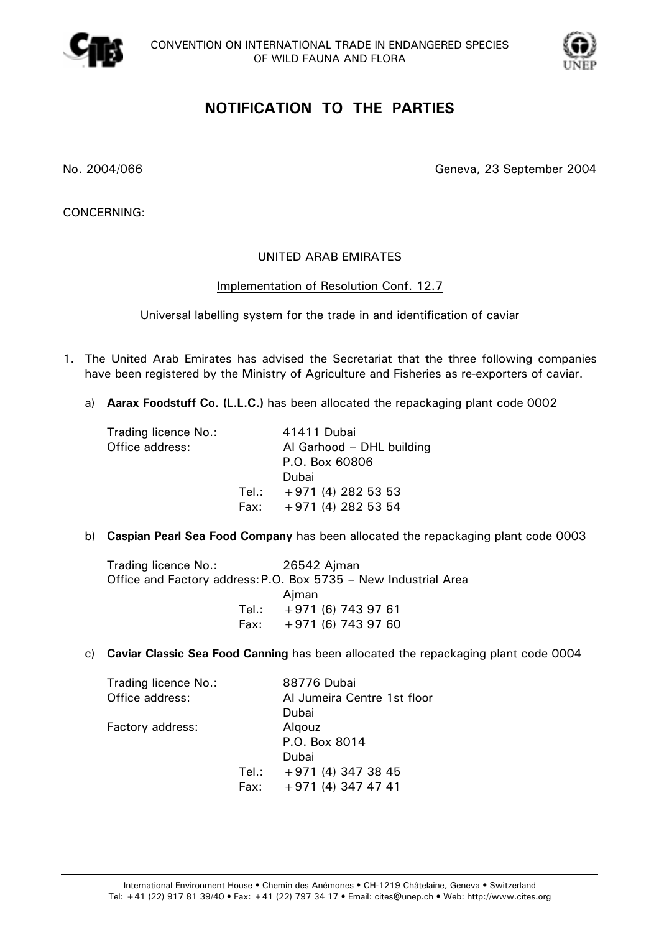



# **NOTIFICATION TO THE PARTIES**

No. 2004/066 Geneva, 23 September 2004

CONCERNING:

#### UNITED ARAB EMIRATES

#### Implementation of Resolution Conf. 12.7

Universal labelling system for the trade in and identification of caviar

- 1. The United Arab Emirates has advised the Secretariat that the three following companies have been registered by the Ministry of Agriculture and Fisheries as re-exporters of caviar.
	- a) **Aarax Foodstuff Co. (L.L.C.)** has been allocated the repackaging plant code 0002

| Trading licence No.:<br>Office address: | 41411 Dubai<br>Al Garhood - DHL building<br>P.O. Box 60806 |
|-----------------------------------------|------------------------------------------------------------|
|                                         | Dubai<br>Tel.: $+971(4)2825353$                            |
|                                         | Fax: $+971(4)2825354$                                      |
|                                         |                                                            |

b) **Caspian Pearl Sea Food Company** has been allocated the repackaging plant code 0003

| Trading licence No.: | 26542 Ajman                                                     |  |  |
|----------------------|-----------------------------------------------------------------|--|--|
|                      | Office and Factory address: P.O. Box 5735 - New Industrial Area |  |  |
|                      | Ajman                                                           |  |  |
|                      | Tel.: $+971(6)7439761$                                          |  |  |
|                      | Fax: $+971(6)$ 743 97 60                                        |  |  |

c) **Caviar Classic Sea Food Canning** has been allocated the repackaging plant code 0004

| Trading licence No.: |       | 88776 Dubai                 |
|----------------------|-------|-----------------------------|
| Office address:      |       | Al Jumeira Centre 1st floor |
|                      |       | Dubai                       |
| Factory address:     |       | Algouz                      |
|                      |       | P.O. Box 8014               |
|                      |       | Dubai                       |
|                      | Tel.: | $+971(4)3473845$            |
|                      | Fax:  | $+971(4)3474741$            |
|                      |       |                             |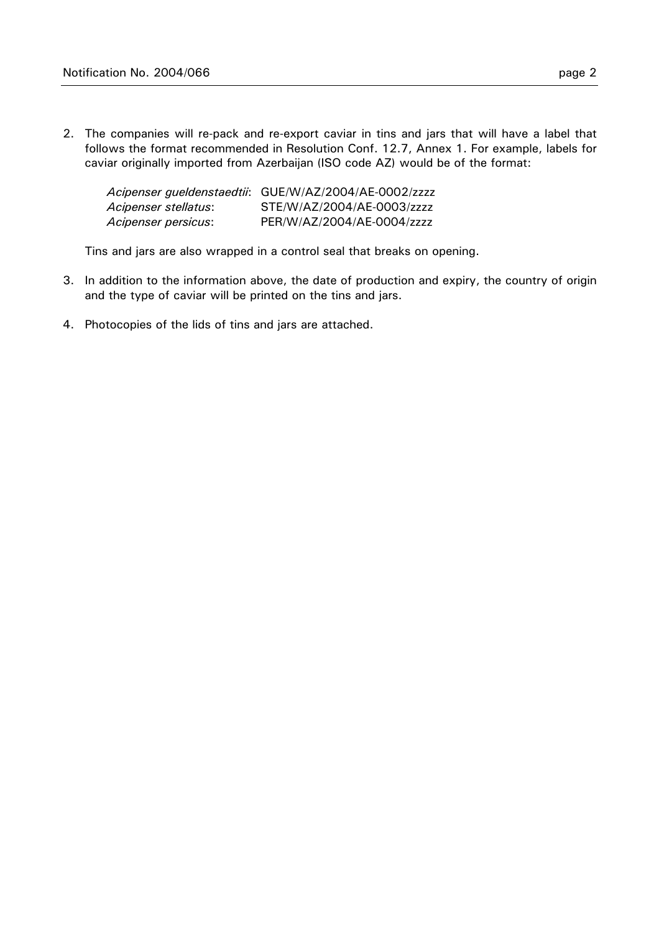2. The companies will re-pack and re-export caviar in tins and jars that will have a label that follows the format recommended in Resolution Conf. 12.7, Annex 1. For example, labels for caviar originally imported from Azerbaijan (ISO code AZ) would be of the format:

|                      | Acipenser gueldenstaedtii: GUE/W/AZ/2004/AE-0002/zzzz |
|----------------------|-------------------------------------------------------|
| Acipenser stellatus: | STE/W/AZ/2004/AE-0003/zzzz                            |
| Acipenser persicus:  | PER/W/AZ/2004/AE-0004/zzzz                            |

Tins and jars are also wrapped in a control seal that breaks on opening.

- 3. In addition to the information above, the date of production and expiry, the country of origin and the type of caviar will be printed on the tins and jars.
- 4. Photocopies of the lids of tins and jars are attached.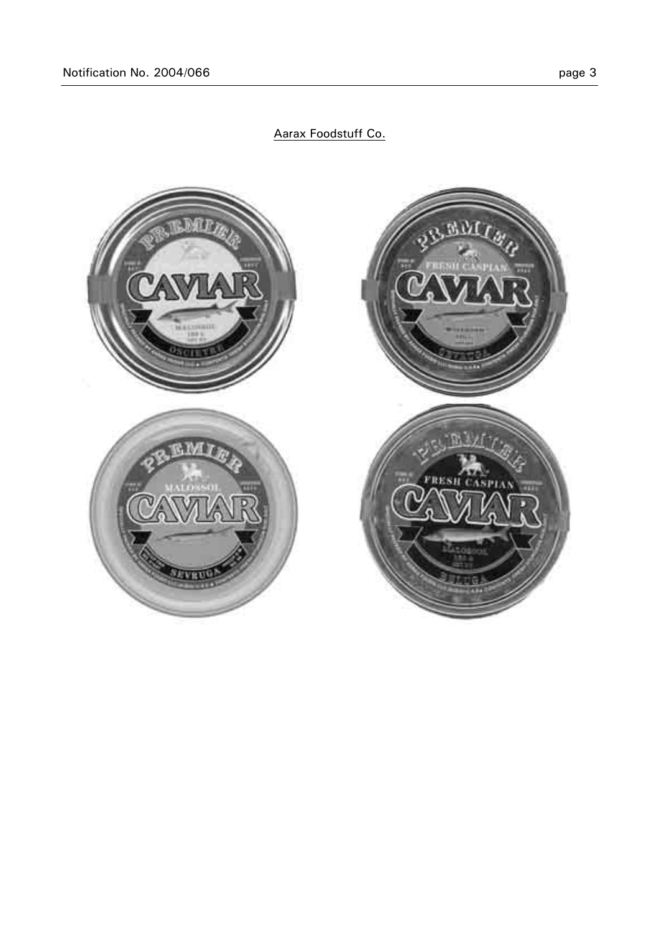

### Aarax Foodstuff Co.

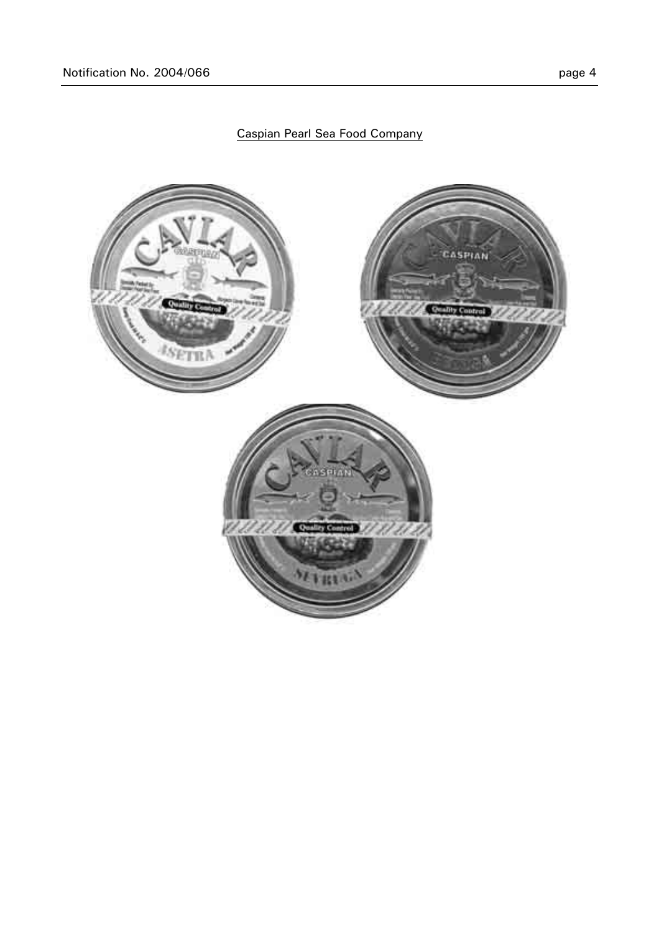## Caspian Pearl Sea Food Company